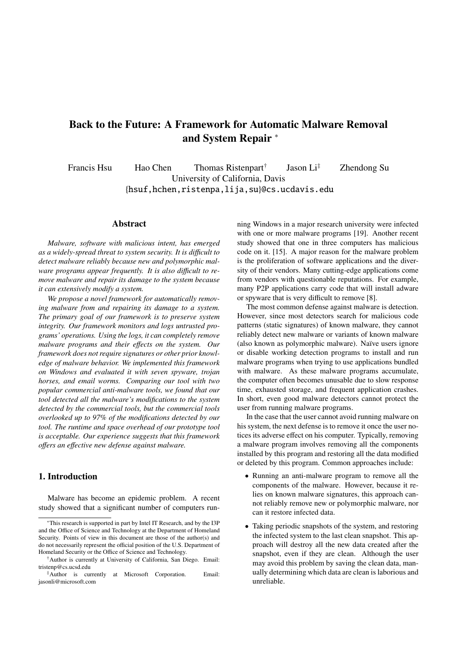# **Back to the Future: A Framework for Automatic Malware Removal and System Repair** <sup>∗</sup>

Francis Hsu Hao Chen Thomas Ristenpart<sup>†</sup> Jason Li‡ Zhendong Su University of California, Davis {hsuf,hchen,ristenpa,lija,su}@cs.ucdavis.edu

# **Abstract**

*Malware, software with malicious intent, has emerged as a widely-spread threat to system security. It is di*ffi*cult to detect malware reliably because new and polymorphic malware programs appear frequently. It is also di*ffi*cult to remove malware and repair its damage to the system because it can extensively modify a system.*

*We propose a novel framework for automatically removing malware from and repairing its damage to a system. The primary goal of our framework is to preserve system integrity. Our framework monitors and logs untrusted programs' operations. Using the logs, it can completely remove malware programs and their e*ff*ects on the system. Our framework does notrequire signatures or other prior knowledge of malware behavior. We implemented this framework on Windows and evaluated it with seven spyware, trojan horses, and email worms. Comparing our tool with two popular commercial anti-malware tools, we found that our tool detected all the malware's modifications to the system detected by the commercial tools, but the commercial tools overlooked up to 97% of the modifications detected by our tool. The runtime and space overhead of our prototype tool is acceptable. Our experience suggests that this framework o*ff*ers an e*ff*ective new defense against malware.*

# **1. Introduction**

Malware has become an epidemic problem. A recent study showed that a significant number of computers running Windows in a major research university were infected with one or more malware programs [19]. Another recent study showed that one in three computers has malicious code on it. [15]. A major reason for the malware problem is the proliferation of software applications and the diversity of their vendors. Many cutting-edge applications come from vendors with questionable reputations. For example, many P2P applications carry code that will install adware or spyware that is very difficult to remove [8].

The most common defense against malware is detection. However, since most detectors search for malicious code patterns (static signatures) of known malware, they cannot reliably detect new malware or variants of known malware (also known as polymorphic malware). Naïve users ignore or disable working detection programs to install and run malware programs when trying to use applications bundled with malware. As these malware programs accumulate, the computer often becomes unusable due to slow response time, exhausted storage, and frequent application crashes. In short, even good malware detectors cannot protect the user from running malware programs.

In the case that the user cannot avoid running malware on his system, the next defense is to remove it once the user notices its adverse effect on his computer. Typically, removing a malware program involves removing all the components installed by this program and restoring all the data modified or deleted by this program. Common approaches include:

- Running an anti-malware program to remove all the components of the malware. However, because it relies on known malware signatures, this approach cannot reliably remove new or polymorphic malware, nor can it restore infected data.
- Taking periodic snapshots of the system, and restoring the infected system to the last clean snapshot. This approach will destroy all the new data created after the snapshot, even if they are clean. Although the user may avoid this problem by saving the clean data, manually determining which data are clean is laborious and unreliable.

<sup>∗</sup>This research is supported in part by Intel IT Research, and by the I3P and the Office of Science and Technology at the Department of Homeland Security. Points of view in this document are those of the author(s) and do not necessarily represent the official position of the U.S. Department of Homeland Security or the Office of Science and Technology.

<sup>†</sup>Author is currently at University of California, San Diego. Email: tristenp@cs.ucsd.edu

<sup>‡</sup>Author is currently at Microsoft Corporation. Email: jasonli@microsoft.com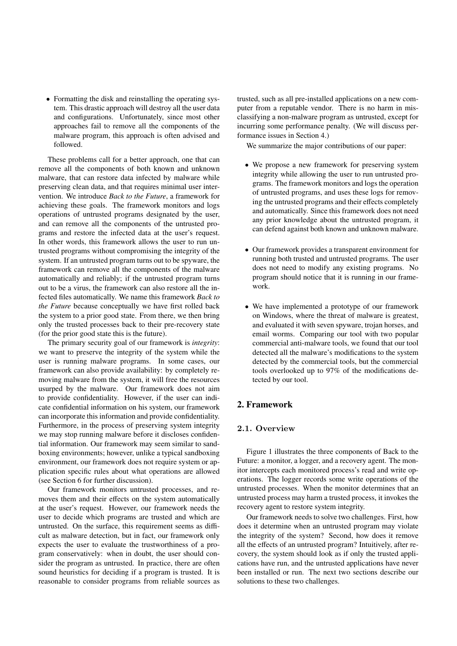• Formatting the disk and reinstalling the operating system. This drastic approach will destroy all the user data and configurations. Unfortunately, since most other approaches fail to remove all the components of the malware program, this approach is often advised and followed.

These problems call for a better approach, one that can remove all the components of both known and unknown malware, that can restore data infected by malware while preserving clean data, and that requires minimal user intervention. We introduce *Back to the Future*, a framework for achieving these goals. The framework monitors and logs operations of untrusted programs designated by the user, and can remove all the components of the untrusted programs and restore the infected data at the user's request. In other words, this framework allows the user to run untrusted programs without compromising the integrity of the system. If an untrusted program turns out to be spyware, the framework can remove all the components of the malware automatically and reliably; if the untrusted program turns out to be a virus, the framework can also restore all the infected files automatically. We name this framework *Back to the Future* because conceptually we have first rolled back the system to a prior good state. From there, we then bring only the trusted processes back to their pre-recovery state (for the prior good state this is the future).

The primary security goal of our framework is *integrity*: we want to preserve the integrity of the system while the user is running malware programs. In some cases, our framework can also provide availability: by completely removing malware from the system, it will free the resources usurped by the malware. Our framework does not aim to provide confidentiality. However, if the user can indicate confidential information on his system, our framework can incorporate thisinformation and provide confidentiality. Furthermore, in the process of preserving system integrity we may stop running malware before it discloses confidential information. Our framework may seem similar to sandboxing environments; however, unlike a typical sandboxing environment, our framework does not require system or application specific rules about what operations are allowed (see Section 6 for further discussion).

Our framework monitors untrusted processes, and removes them and their effects on the system automatically at the user's request. However, our framework needs the user to decide which programs are trusted and which are untrusted. On the surface, this requirement seems as difficult as malware detection, but in fact, our framework only expects the user to evaluate the trustworthiness of a program conservatively: when in doubt, the user should consider the program as untrusted. In practice, there are often sound heuristics for deciding if a program is trusted. It is reasonable to consider programs from reliable sources as trusted, such as all pre-installed applications on a new computer from a reputable vendor. There is no harm in misclassifying a non-malware program as untrusted, except for incurring some performance penalty. (We will discuss performance issues in Section 4.)

We summarize the major contributions of our paper:

- We propose a new framework for preserving system integrity while allowing the user to run untrusted programs. The framework monitors and logs the operation of untrusted programs, and uses these logs for removing the untrusted programs and their effects completely and automatically. Since this framework does not need any prior knowledge about the untrusted program, it can defend against both known and unknown malware.
- Our framework provides a transparent environment for running both trusted and untrusted programs. The user does not need to modify any existing programs. No program should notice that it is running in our framework.
- We have implemented a prototype of our framework on Windows, where the threat of malware is greatest, and evaluated it with seven spyware, trojan horses, and email worms. Comparing our tool with two popular commercial anti-malware tools, we found that our tool detected all the malware's modifications to the system detected by the commercial tools, but the commercial tools overlooked up to 97% of the modifications detected by our tool.

# **2. Framework**

## 2.1. Overview

Figure 1 illustrates the three components of Back to the Future: a monitor, a logger, and a recovery agent. The monitor intercepts each monitored process's read and write operations. The logger records some write operations of the untrusted processes. When the monitor determines that an untrusted process may harm a trusted process, it invokes the recovery agent to restore system integrity.

Our framework needs to solve two challenges. First, how does it determine when an untrusted program may violate the integrity of the system? Second, how does it remove all the effects of an untrusted program? Intuitively, after recovery, the system should look as if only the trusted applications have run, and the untrusted applications have never been installed or run. The next two sections describe our solutions to these two challenges.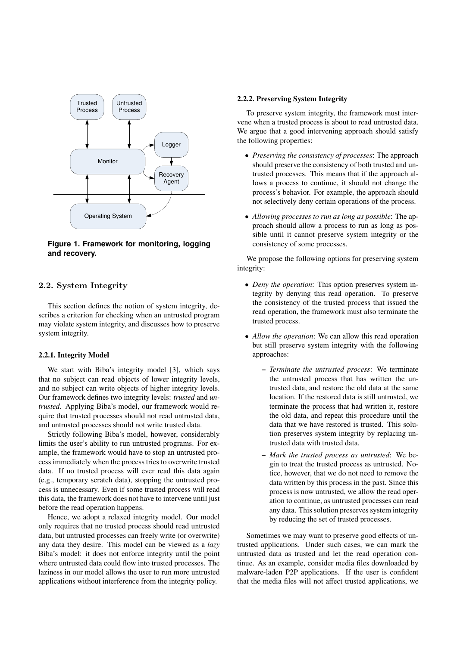

**Figure 1. Framework for monitoring, logging and recovery.**

### 2.2. System Integrity

This section defines the notion of system integrity, describes a criterion for checking when an untrusted program may violate system integrity, and discusses how to preserve system integrity.

#### **2.2.1. Integrity Model**

We start with Biba's integrity model [3], which says that no subject can read objects of lower integrity levels, and no subject can write objects of higher integrity levels. Our framework defines two integrity levels: *trusted* and *untrusted*. Applying Biba's model, our framework would require that trusted processes should not read untrusted data, and untrusted processes should not write trusted data.

Strictly following Biba's model, however, considerably limits the user's ability to run untrusted programs. For example, the framework would have to stop an untrusted process immediately when the process tries to overwrite trusted data. If no trusted process will ever read this data again (e.g., temporary scratch data), stopping the untrusted process is unnecessary. Even if some trusted process will read this data, the framework does not have to intervene until just before the read operation happens.

Hence, we adopt a relaxed integrity model. Our model only requires that no trusted process should read untrusted data, but untrusted processes can freely write (or overwrite) any data they desire. This model can be viewed as a *lazy* Biba's model: it does not enforce integrity until the point where untrusted data could flow into trusted processes. The laziness in our model allows the user to run more untrusted applications without interference from the integrity policy.

#### **2.2.2. Preserving System Integrity**

To preserve system integrity, the framework must intervene when a trusted process is about to read untrusted data. We argue that a good intervening approach should satisfy the following properties:

- *Preserving the consistency of processes*: The approach should preserve the consistency of both trusted and untrusted processes. This means that if the approach allows a process to continue, it should not change the process's behavior. For example, the approach should not selectively deny certain operations of the process.
- *Allowing processes to run as long as possible*: The approach should allow a process to run as long as possible until it cannot preserve system integrity or the consistency of some processes.

We propose the following options for preserving system integrity:

- *Deny the operation*: This option preserves system integrity by denying this read operation. To preserve the consistency of the trusted process that issued the read operation, the framework must also terminate the trusted process.
- *Allow the operation*: We can allow this read operation but still preserve system integrity with the following approaches:
	- **–** *Terminate the untrusted process*: We terminate the untrusted process that has written the untrusted data, and restore the old data at the same location. If the restored data is still untrusted, we terminate the process that had written it, restore the old data, and repeat this procedure until the data that we have restored is trusted. This solution preserves system integrity by replacing untrusted data with trusted data.
	- **–** *Mark the trusted process as untrusted*: We begin to treat the trusted process as untrusted. Notice, however, that we do not need to remove the data written by this process in the past. Since this process is now untrusted, we allow the read operation to continue, as untrusted processes can read any data. This solution preserves system integrity by reducing the set of trusted processes.

Sometimes we may want to preserve good effects of untrusted applications. Under such cases, we can mark the untrusted data as trusted and let the read operation continue. As an example, consider media files downloaded by malware-laden P2P applications. If the user is confident that the media files will not affect trusted applications, we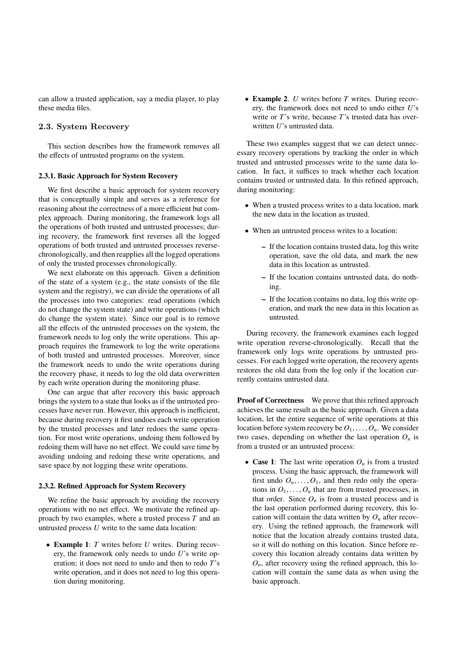can allow a trusted application, say a media player, to play these media files.

### 2.3. System Recovery

This section describes how the framework removes all the effects of untrusted programs on the system.

#### **2.3.1. Basic Approach for System Recovery**

We first describe a basic approach for system recovery that is conceptually simple and serves as a reference for reasoning about the correctness of a more efficient but complex approach. During monitoring, the framework logs all the operations of both trusted and untrusted processes; during recovery, the framework first reverses all the logged operations of both trusted and untrusted processes reversechronologically, and then reapplies all the logged operations of only the trusted processes chronologically.

We next elaborate on this approach. Given a definition of the state of a system (e.g., the state consists of the file system and the registry), we can divide the operations of all the processes into two categories: read operations (which do not change the system state) and write operations (which do change the system state). Since our goal is to remove all the effects of the untrusted processes on the system, the framework needs to log only the write operations. This approach requires the framework to log the write operations of both trusted and untrusted processes. Moreover, since the framework needs to undo the write operations during the recovery phase, it needs to log the old data overwritten by each write operation during the monitoring phase.

One can argue that after recovery this basic approach brings the system to a state that looks as if the untrusted processes have never run. However, this approach is inefficient, because during recovery it first undoes each write operation by the trusted processes and later redoes the same operation. For most write operations, undoing them followed by redoing them will have no net effect. We could save time by avoiding undoing and redoing these write operations, and save space by not logging these write operations.

#### **2.3.2. Refined Approach for System Recovery**

We refine the basic approach by avoiding the recovery operations with no net effect. We motivate the refined approach by two examples, where a trusted process *T* and an untrusted process *U* write to the same data location:

• **Example 1**: *T* writes before *U* writes. During recovery, the framework only needs to undo *U*'s write operation; it does not need to undo and then to redo *T*'s write operation, and it does not need to log this operation during monitoring.

• **Example 2**. *U* writes before *T* writes. During recovery, the framework does not need to undo either *U*'s write or *T*'s write, because *T*'s trusted data has overwritten *U*'s untrusted data.

These two examples suggest that we can detect unnecessary recovery operations by tracking the order in which trusted and untrusted processes write to the same data location. In fact, it suffices to track whether each location contains trusted or untrusted data. In this refined approach, during monitoring:

- When a trusted process writes to a data location, mark the new data in the location as trusted.
- When an untrusted process writes to a location:
	- **–** If the location contains trusted data, log this write operation, save the old data, and mark the new data in this location as untrusted.
	- **–** If the location contains untrusted data, do nothing.
	- **–** If the location contains no data, log this write operation, and mark the new data in this location as untrusted.

During recovery, the framework examines each logged write operation reverse-chronologically. Recall that the framework only logs write operations by untrusted processes. For each logged write operation, the recovery agents restores the old data from the log only if the location currently contains untrusted data.

**Proof of Correctness** We prove that this refined approach achieves the same result as the basic approach. Given a data location, let the entire sequence of write operations at this location before system recovery be  $O_1, \ldots, O_n$ . We consider two cases, depending on whether the last operation  $O_n$  is from a trusted or an untrusted process:

• **Case 1**: The last write operation  $O_n$  is from a trusted process. Using the basic approach, the framework will first undo  $O_n$ , ...,  $O_1$ , and then redo only the operations in  $O_1, \ldots, O_n$  that are from trusted processes, in that order. Since  $O_n$  is from a trusted process and is the last operation performed during recovery, this location will contain the data written by  $O<sub>n</sub>$  after recovery. Using the refined approach, the framework will notice that the location already contains trusted data, so it will do nothing on this location. Since before recovery this location already contains data written by  $O_n$ , after recovery using the refined approach, this location will contain the same data as when using the basic approach.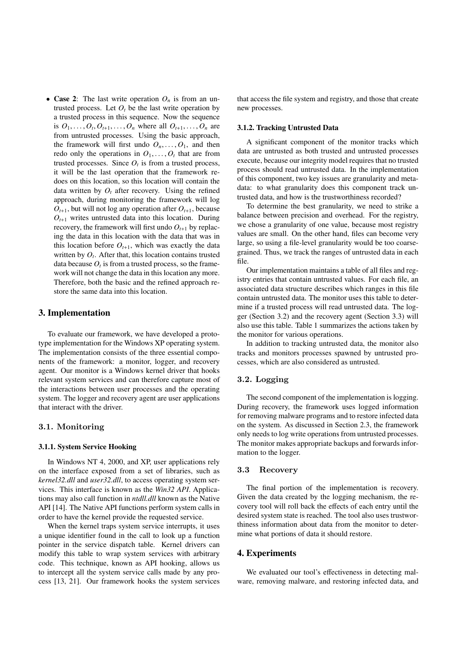• **Case 2**: The last write operation  $O_n$  is from an untrusted process. Let  $O_t$  be the last write operation by a trusted process in this sequence. Now the sequence is  $O_1, ..., O_t, O_{t+1}, ..., O_n$  where all  $O_{t+1}, ..., O_n$  are from untrusted processes. Using the basic approach, the framework will first undo  $O_n, \ldots, O_1$ , and then redo only the operations in  $O_1, \ldots, O_t$  that are from trusted processes. Since  $O_t$  is from a trusted process, it will be the last operation that the framework redoes on this location, so this location will contain the data written by  $O_t$  after recovery. Using the refined approach, during monitoring the framework will log  $O_{t+1}$ , but will not log any operation after  $O_{t+1}$ , because  $O_{t+1}$  writes untrusted data into this location. During recovery, the framework will first undo  $O_{t+1}$  by replacing the data in this location with the data that was in this location before  $O_{t+1}$ , which was exactly the data written by  $O_t$ . After that, this location contains trusted data because  $O_t$  is from a trusted process, so the framework will not change the data in this location any more. Therefore, both the basic and the refined approach restore the same data into this location.

#### **3. Implementation**

To evaluate our framework, we have developed a prototype implementation for the Windows XP operating system. The implementation consists of the three essential components of the framework: a monitor, logger, and recovery agent. Our monitor is a Windows kernel driver that hooks relevant system services and can therefore capture most of the interactions between user processes and the operating system. The logger and recovery agent are user applications that interact with the driver.

# 3.1. Monitoring

#### **3.1.1. System Service Hooking**

In Windows NT 4, 2000, and XP, user applications rely on the interface exposed from a set of libraries, such as *kernel32.dll* and *user32.dll*, to access operating system services. This interface is known as the *Win32 API*. Applications may also call function in *ntdll.dll* known as the Native API [14]. The Native API functions perform system calls in order to have the kernel provide the requested service.

When the kernel traps system service interrupts, it uses a unique identifier found in the call to look up a function pointer in the service dispatch table. Kernel drivers can modify this table to wrap system services with arbitrary code. This technique, known as API hooking, allows us to intercept all the system service calls made by any process [13, 21]. Our framework hooks the system services

that access the file system and registry, and those that create new processes.

#### **3.1.2. Tracking Untrusted Data**

A significant component of the monitor tracks which data are untrusted as both trusted and untrusted processes execute, because our integrity model requires that no trusted process should read untrusted data. In the implementation of this component, two key issues are granularity and metadata: to what granularity does this component track untrusted data, and how is the trustworthiness recorded?

To determine the best granularity, we need to strike a balance between precision and overhead. For the registry, we chose a granularity of one value, because most registry values are small. On the other hand, files can become very large, so using a file-level granularity would be too coarsegrained. Thus, we track the ranges of untrusted data in each file.

Our implementation maintains a table of all files and registry entries that contain untrusted values. For each file, an associated data structure describes which ranges in this file contain untrusted data. The monitor uses this table to determine if a trusted process will read untrusted data. The logger (Section 3.2) and the recovery agent (Section 3.3) will also use this table. Table 1 summarizes the actions taken by the monitor for various operations.

In addition to tracking untrusted data, the monitor also tracks and monitors processes spawned by untrusted processes, which are also considered as untrusted.

#### 3.2. Logging

The second component of the implementation is logging. During recovery, the framework uses logged information for removing malware programs and to restore infected data on the system. As discussed in Section 2.3, the framework only needs to log write operations from untrusted processes. The monitor makes appropriate backups and forwards information to the logger.

#### 3.3 Recovery

The final portion of the implementation is recovery. Given the data created by the logging mechanism, the recovery tool will roll back the effects of each entry until the desired system state is reached. The tool also uses trustworthiness information about data from the monitor to determine what portions of data it should restore.

### **4. Experiments**

We evaluated our tool's effectiveness in detecting malware, removing malware, and restoring infected data, and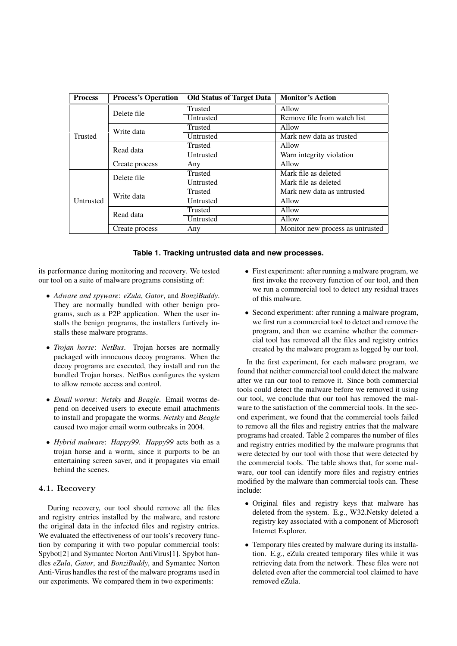| <b>Process</b>   | <b>Process's Operation</b> | <b>Old Status of Target Data</b> | <b>Monitor's Action</b>          |
|------------------|----------------------------|----------------------------------|----------------------------------|
| <b>Trusted</b>   | Delete file                | Trusted                          | Allow                            |
|                  |                            | Untrusted                        | Remove file from watch list      |
|                  | Write data                 | <b>Trusted</b>                   | Allow                            |
|                  |                            | Untrusted                        | Mark new data as trusted         |
|                  | Read data                  | Trusted                          | Allow                            |
|                  |                            | Untrusted                        | Warn integrity violation         |
|                  | Create process             | Any                              | Allow                            |
| <b>Untrusted</b> | Delete file                | <b>Trusted</b>                   | Mark file as deleted             |
|                  |                            | Untrusted                        | Mark file as deleted             |
|                  | Write data                 | Trusted                          | Mark new data as untrusted       |
|                  |                            | Untrusted                        | Allow                            |
|                  | Read data                  | Trusted                          | Allow                            |
|                  |                            | Untrusted                        | Allow                            |
|                  | Create process             | Any                              | Monitor new process as untrusted |

# **Table 1. Tracking untrusted data and new processes.**

its performance during monitoring and recovery. We tested our tool on a suite of malware programs consisting of:

- *Adware and spyware*: *eZula*, *Gator*, and *BonziBuddy*. They are normally bundled with other benign programs, such as a P2P application. When the user installs the benign programs, the installers furtively installs these malware programs.
- *Trojan horse*: *NetBus*. Trojan horses are normally packaged with innocuous decoy programs. When the decoy programs are executed, they install and run the bundled Trojan horses. NetBus configures the system to allow remote access and control.
- *Email worms*: *Netsky* and *Beagle*. Email worms depend on deceived users to execute email attachments to install and propagate the worms. *Netsky* and *Beagle* caused two major email worm outbreaks in 2004.
- *Hybrid malware*: *Happy99*. *Happy99* acts both as a trojan horse and a worm, since it purports to be an entertaining screen saver, and it propagates via email behind the scenes.

### 4.1. Recovery

During recovery, our tool should remove all the files and registry entries installed by the malware, and restore the original data in the infected files and registry entries. We evaluated the effectiveness of our tools's recovery function by comparing it with two popular commercial tools: Spybot<sup>[2]</sup> and Symantec Norton AntiVirus<sup>[1]</sup>. Spybot handles *eZula*, *Gator*, and *BonziBuddy*, and Symantec Norton Anti-Virus handles the rest of the malware programs used in our experiments. We compared them in two experiments:

- First experiment: after running a malware program, we first invoke the recovery function of our tool, and then we run a commercial tool to detect any residual traces of this malware.
- Second experiment: after running a malware program, we first run a commercial tool to detect and remove the program, and then we examine whether the commercial tool has removed all the files and registry entries created by the malware program as logged by our tool.

In the first experiment, for each malware program, we found that neither commercial tool could detect the malware after we ran our tool to remove it. Since both commercial tools could detect the malware before we removed it using our tool, we conclude that our tool has removed the malware to the satisfaction of the commercial tools. In the second experiment, we found that the commercial tools failed to remove all the files and registry entries that the malware programs had created. Table 2 compares the number of files and registry entries modified by the malware programs that were detected by our tool with those that were detected by the commercial tools. The table shows that, for some malware, our tool can identify more files and registry entries modified by the malware than commercial tools can. These include:

- Original files and registry keys that malware has deleted from the system. E.g., W32.Netsky deleted a registry key associated with a component of Microsoft Internet Explorer.
- Temporary files created by malware during its installation. E.g., eZula created temporary files while it was retrieving data from the network. These files were not deleted even after the commercial tool claimed to have removed eZula.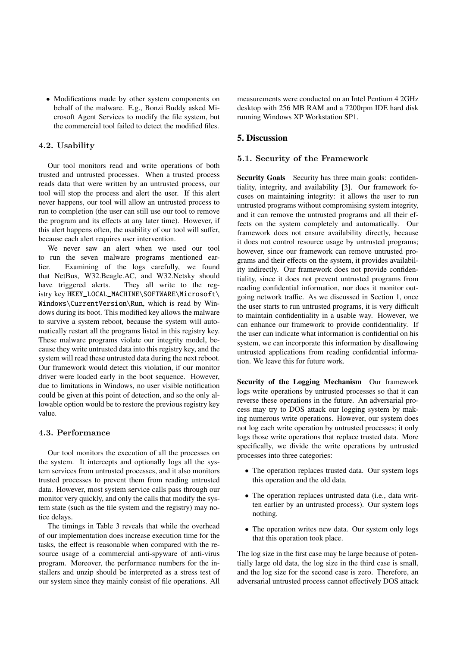• Modifications made by other system components on behalf of the malware. E.g., Bonzi Buddy asked Microsoft Agent Services to modify the file system, but the commercial tool failed to detect the modified files.

# 4.2. Usability

Our tool monitors read and write operations of both trusted and untrusted processes. When a trusted process reads data that were written by an untrusted process, our tool will stop the process and alert the user. If this alert never happens, our tool will allow an untrusted process to run to completion (the user can still use our tool to remove the program and its effects at any later time). However, if this alert happens often, the usability of our tool will suffer, because each alert requires user intervention.

We never saw an alert when we used our tool to run the seven malware programs mentioned earlier. Examining of the logs carefully, we found that NetBus, W32.Beagle.AC, and W32.Netsky should have triggered alerts. They all write to the registry key HKEY\_LOCAL\_MACHINE\SOFTWARE\Microsoft\ Windows\CurrentVersion\Run, which is read by Windows during its boot. This modified key allows the malware to survive a system reboot, because the system will automatically restart all the programs listed in this registry key. These malware programs violate our integrity model, because they write untrusted data into this registry key, and the system will read these untrusted data during the next reboot. Our framework would detect this violation, if our monitor driver were loaded early in the boot sequence. However, due to limitations in Windows, no user visible notification could be given at this point of detection, and so the only allowable option would be to restore the previous registry key value.

# 4.3. Performance

Our tool monitors the execution of all the processes on the system. It intercepts and optionally logs all the system services from untrusted processes, and it also monitors trusted processes to prevent them from reading untrusted data. However, most system service calls pass through our monitor very quickly, and only the calls that modify the system state (such as the file system and the registry) may notice delays.

The timings in Table 3 reveals that while the overhead of our implementation does increase execution time for the tasks, the effect is reasonable when compared with the resource usage of a commercial anti-spyware of anti-virus program. Moreover, the performance numbers for the installers and unzip should be interpreted as a stress test of our system since they mainly consist of file operations. All measurements were conducted on an Intel Pentium 4 2GHz desktop with 256 MB RAM and a 7200rpm IDE hard disk running Windows XP Workstation SP1.

# **5. Discussion**

### 5.1. Security of the Framework

**Security Goals** Security has three main goals: confidentiality, integrity, and availability [3]. Our framework focuses on maintaining integrity: it allows the user to run untrusted programs without compromising system integrity, and it can remove the untrusted programs and all their effects on the system completely and automatically. Our framework does not ensure availability directly, because it does not control resource usage by untrusted programs; however, since our framework can remove untrusted programs and their effects on the system, it provides availability indirectly. Our framework does not provide confidentiality, since it does not prevent untrusted programs from reading confidential information, nor does it monitor outgoing network traffic. As we discussed in Section 1, once the user starts to run untrusted programs, it is very difficult to maintain confidentiality in a usable way. However, we can enhance our framework to provide confidentiality. If the user can indicate what information is confidential on his system, we can incorporate this information by disallowing untrusted applications from reading confidential information. We leave this for future work.

**Security of the Logging Mechanism** Our framework logs write operations by untrusted processes so that it can reverse these operations in the future. An adversarial process may try to DOS attack our logging system by making numerous write operations. However, our system does not log each write operation by untrusted processes; it only logs those write operations that replace trusted data. More specifically, we divide the write operations by untrusted processes into three categories:

- The operation replaces trusted data. Our system logs this operation and the old data.
- The operation replaces untrusted data (i.e., data written earlier by an untrusted process). Our system logs nothing.
- The operation writes new data. Our system only logs that this operation took place.

The log size in the first case may be large because of potentially large old data, the log size in the third case is small, and the log size for the second case is zero. Therefore, an adversarial untrusted process cannot effectively DOS attack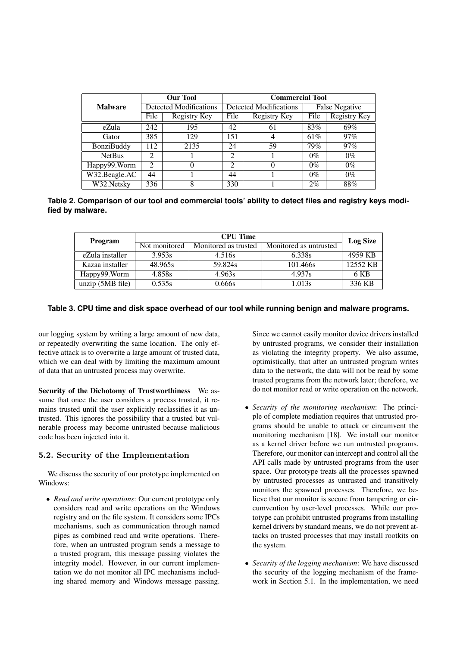|                   | <b>Our Tool</b>               |              | <b>Commercial Tool</b> |              |                       |              |  |  |
|-------------------|-------------------------------|--------------|------------------------|--------------|-----------------------|--------------|--|--|
| <b>Malware</b>    | <b>Detected Modifications</b> |              | Detected Modifications |              | <b>False Negative</b> |              |  |  |
|                   | File                          | Registry Key | File                   | Registry Key | File                  | Registry Key |  |  |
| eZula             | 242                           | 195          | 42                     | 61           | 83%                   | 69%          |  |  |
| Gator             | 385                           | 129          | 151                    | 4            | 61\%                  | 97%          |  |  |
| <b>BonziBuddy</b> | 112                           | 2135         | 24                     | 59           | 79%                   | 97%          |  |  |
| <b>NetBus</b>     | 2                             |              | $\overline{2}$         |              | $0\%$                 | $0\%$        |  |  |
| Happy99.Worm      | 2                             | 0            | $\overline{c}$         |              | $0\%$                 | $0\%$        |  |  |
| W32.Beagle.AC     | 44                            |              | 44                     |              | $0\%$                 | $0\%$        |  |  |
| W32.Netsky        | 336                           | 8            | 330                    |              | $2\%$                 | 88%          |  |  |

**Table 2. Comparison of our tool and commercial tools' ability to detect files and registry keys modified by malware.**

| Program            |               | <b>Log Size</b>      |                        |          |  |
|--------------------|---------------|----------------------|------------------------|----------|--|
|                    | Not monitored | Monitored as trusted | Monitored as untrusted |          |  |
| eZula installer    | 3.953s        | 4.516s               | 6.338s                 | 4959 KB  |  |
| Kazaa installer    | 48.965s       | 59.824s              | 101.466s               | 12552 KB |  |
| Happy99. Worm      | 4.858s        | 4.963s               | 4.937s                 | 6 KB     |  |
| unzip $(5MB$ file) | 0.535s        | 0.666s               | 1.013s                 | 336 KB   |  |

# **Table 3. CPU time and disk space overhead of our tool while running benign and malware programs.**

our logging system by writing a large amount of new data, or repeatedly overwriting the same location. The only effective attack is to overwrite a large amount of trusted data, which we can deal with by limiting the maximum amount of data that an untrusted process may overwrite.

**Security of the Dichotomy of Trustworthiness** We assume that once the user considers a process trusted, it remains trusted until the user explicitly reclassifies it as untrusted. This ignores the possibility that a trusted but vulnerable process may become untrusted because malicious code has been injected into it.

# 5.2. Security of the Implementation

We discuss the security of our prototype implemented on Windows:

• *Read and write operations*: Our current prototype only considers read and write operations on the Windows registry and on the file system. It considers some IPCs mechanisms, such as communication through named pipes as combined read and write operations. Therefore, when an untrusted program sends a message to a trusted program, this message passing violates the integrity model. However, in our current implementation we do not monitor all IPC mechanisms including shared memory and Windows message passing.

Since we cannot easily monitor device drivers installed by untrusted programs, we consider their installation as violating the integrity property. We also assume, optimistically, that after an untrusted program writes data to the network, the data will not be read by some trusted programs from the network later; therefore, we do not monitor read or write operation on the network.

- *Security of the monitoring mechanism*: The principle of complete mediation requires that untrusted programs should be unable to attack or circumvent the monitoring mechanism [18]. We install our monitor as a kernel driver before we run untrusted programs. Therefore, our monitor can intercept and control all the API calls made by untrusted programs from the user space. Our prototype treats all the processes spawned by untrusted processes as untrusted and transitively monitors the spawned processes. Therefore, we believe that our monitor is secure from tampering or circumvention by user-level processes. While our prototype can prohibit untrusted programs from installing kernel drivers by standard means, we do not prevent attacks on trusted processes that may install rootkits on the system.
- *Security of the logging mechanism*: We have discussed the security of the logging mechanism of the framework in Section 5.1. In the implementation, we need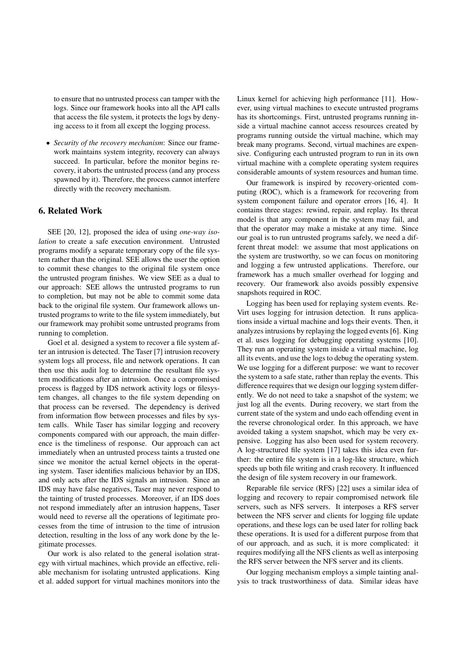to ensure that no untrusted process can tamper with the logs. Since our framework hooks into all the API calls that access the file system, it protects the logs by denying access to it from all except the logging process.

• *Security of the recovery mechanism*: Since our framework maintains system integrity, recovery can always succeed. In particular, before the monitor begins recovery, it aborts the untrusted process (and any process spawned by it). Therefore, the process cannot interfere directly with the recovery mechanism.

# **6. Related Work**

SEE [20, 12], proposed the idea of using *one-way isolation* to create a safe execution environment. Untrusted programs modify a separate temporary copy of the file system rather than the original. SEE allows the user the option to commit these changes to the original file system once the untrusted program finishes. We view SEE as a dual to our approach: SEE allows the untrusted programs to run to completion, but may not be able to commit some data back to the original file system. Our framework allows untrusted programs to write to the file system immediately, but our framework may prohibit some untrusted programs from running to completion.

Goel et al. designed a system to recover a file system after an intrusion is detected. The Taser [7] intrusion recovery system logs all process, file and network operations. It can then use this audit log to determine the resultant file system modifications after an intrusion. Once a compromised process is flagged by IDS network activity logs or filesystem changes, all changes to the file system depending on that process can be reversed. The dependency is derived from information flow between processes and files by system calls. While Taser has similar logging and recovery components compared with our approach, the main difference is the timeliness of response. Our approach can act immediately when an untrusted process taints a trusted one since we monitor the actual kernel objects in the operating system. Taser identifies malicious behavior by an IDS, and only acts after the IDS signals an intrusion. Since an IDS may have false negatives, Taser may never respond to the tainting of trusted processes. Moreover, if an IDS does not respond immediately after an intrusion happens, Taser would need to reverse all the operations of legitimate processes from the time of intrusion to the time of intrusion detection, resulting in the loss of any work done by the legitimate processes.

Our work is also related to the general isolation strategy with virtual machines, which provide an effective, reliable mechanism for isolating untrusted applications. King et al. added support for virtual machines monitors into the Linux kernel for achieving high performance [11]. However, using virtual machines to execute untrusted programs has its shortcomings. First, untrusted programs running inside a virtual machine cannot access resources created by programs running outside the virtual machine, which may break many programs. Second, virtual machines are expensive. Configuring each untrusted program to run in its own virtual machine with a complete operating system requires considerable amounts of system resources and human time.

Our framework is inspired by recovery-oriented computing (ROC), which is a framework for recovering from system component failure and operator errors [16, 4]. It contains three stages: rewind, repair, and replay. Its threat model is that any component in the system may fail, and that the operator may make a mistake at any time. Since our goal is to run untrusted programs safely, we need a different threat model: we assume that most applications on the system are trustworthy, so we can focus on monitoring and logging a few untrusted applications. Therefore, our framework has a much smaller overhead for logging and recovery. Our framework also avoids possibly expensive snapshots required in ROC.

Logging has been used for replaying system events. Re-Virt uses logging for intrusion detection. It runs applications inside a virtual machine and logs their events. Then, it analyzes intrusions by replaying the logged events [6]. King et al. uses logging for debugging operating systems [10]. They run an operating system inside a virtual machine, log all its events, and use the logsto debug the operating system. We use logging for a different purpose: we want to recover the system to a safe state, rather than replay the events. This difference requires that we design our logging system differently. We do not need to take a snapshot of the system; we just log all the events. During recovery, we start from the current state of the system and undo each offending event in the reverse chronological order. In this approach, we have avoided taking a system snapshot, which may be very expensive. Logging has also been used for system recovery. A log-structured file system [17] takes this idea even further: the entire file system is in a log-like structure, which speeds up both file writing and crash recovery. It influenced the design of file system recovery in our framework.

Reparable file service (RFS) [22] uses a similar idea of logging and recovery to repair compromised network file servers, such as NFS servers. It interposes a RFS server between the NFS server and clients for logging file update operations, and these logs can be used later for rolling back these operations. It is used for a different purpose from that of our approach, and as such, it is more complicated: it requires modifying all the NFS clients as well as interposing the RFS server between the NFS server and its clients.

Our logging mechanism employs a simple tainting analysis to track trustworthiness of data. Similar ideas have